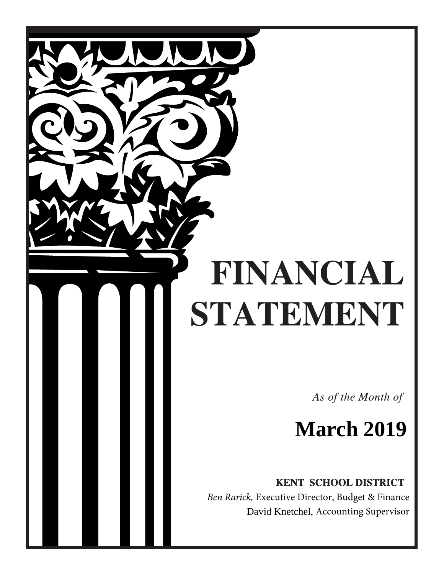# FINANCIAL STATEMENT

As of the Month of

## **March 2019**

**KENT SCHOOL DISTRICT** 

 *Ben Rarick,* Executive Director, Budget & Finance David Knetchel, Accounting Supervisor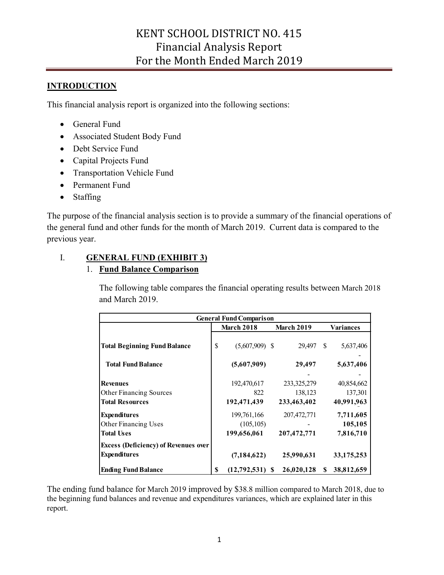## **INTRODUCTION**

This financial analysis report is organized into the following sections:

- General Fund
- Associated Student Body Fund
- Debt Service Fund
- Capital Projects Fund
- Transportation Vehicle Fund
- Permanent Fund
- Staffing

The purpose of the financial analysis section is to provide a summary of the financial operations of the general fund and other funds for the month of March 2019. Current data is compared to the previous year.

## I. **GENERAL FUND (EXHIBIT 3)**

## 1. **Fund Balance Comparison**

The following table compares the financial operating results between March 2018 and March 2019.

|                                                                                                  | <b>March 2018</b>                        |                                         |               |                                     |  |
|--------------------------------------------------------------------------------------------------|------------------------------------------|-----------------------------------------|---------------|-------------------------------------|--|
|                                                                                                  |                                          | <b>March 2019</b>                       | Variances     |                                     |  |
| <b>Total Beginning Fund Balance</b>                                                              | \$<br>$(5,607,909)$ \$                   | 29.497                                  | <sup>\$</sup> | 5,637,406                           |  |
| <b>Total Fund Balance</b>                                                                        | (5,607,909)                              | 29,497                                  |               | 5,637,406                           |  |
| Revenues<br><b>Other Financing Sources</b><br><b>Total Resources</b>                             | 192,470,617<br>822<br>192,471,439        | 233, 325, 279<br>138,123<br>233,463,402 |               | 40,854,662<br>137,301<br>40,991,963 |  |
| <b>Expenditures</b><br>Other Financing Uses<br><b>Total Uses</b>                                 | 199,761,166<br>(105, 105)<br>199,656,061 | 207, 472, 771<br>207,472,771            |               | 7,711,605<br>105,105<br>7,816,710   |  |
| <b>Excess (Deficiency) of Revenues over</b><br><b>Expenditures</b><br><b>Ending Fund Balance</b> | \$<br>(7, 184, 622)<br>$(12,792,531)$ \$ | 25,990,631<br>26,020,128                | S             | 33, 175, 253<br>38,812,659          |  |

The ending fund balance for March 2019 improved by \$38.8 million compared to March 2018, due to the beginning fund balances and revenue and expenditures variances, which are explained later in this report.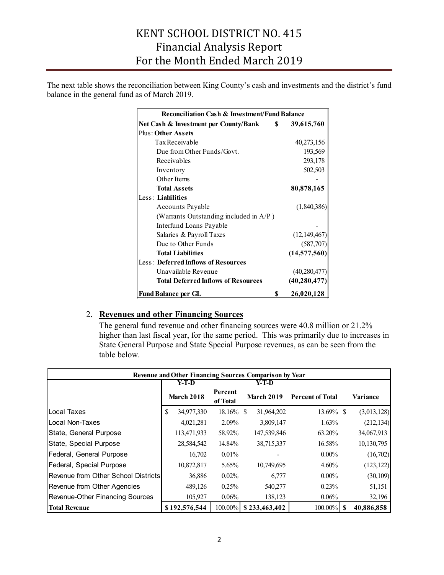The next table shows the reconciliation between King County's cash and investments and the district's fund balance in the general fund as of March 2019.

| <b>Reconciliation Cash &amp; Investment/Fund Balance</b> |                |  |  |  |  |  |  |
|----------------------------------------------------------|----------------|--|--|--|--|--|--|
| Net Cash & Investment per County/Bank \$                 | 39,615,760     |  |  |  |  |  |  |
| <b>Plus: Other Assets</b>                                |                |  |  |  |  |  |  |
| Tax Receivable                                           | 40,273,156     |  |  |  |  |  |  |
| Due from Other Funds/Govt.                               | 193,569        |  |  |  |  |  |  |
| Receivables                                              | 293,178        |  |  |  |  |  |  |
| Inventory                                                | 502,503        |  |  |  |  |  |  |
| Other Items                                              |                |  |  |  |  |  |  |
| <b>Total Assets</b>                                      | 80,878,165     |  |  |  |  |  |  |
| Less: Liabilities                                        |                |  |  |  |  |  |  |
| Accounts Payable                                         | (1,840,386)    |  |  |  |  |  |  |
| (Warrants Outstanding included in A/P)                   |                |  |  |  |  |  |  |
| Interfund Loans Payable                                  |                |  |  |  |  |  |  |
| Salaries & Payroll Taxes                                 | (12, 149, 467) |  |  |  |  |  |  |
| Due to Other Funds                                       | (587,707)      |  |  |  |  |  |  |
| <b>Total Liabilities</b>                                 | (14,577,560)   |  |  |  |  |  |  |
| <b>Less: Deferred Inflows of Resources</b>               |                |  |  |  |  |  |  |
| Unavailable Revenue                                      | (40, 280, 477) |  |  |  |  |  |  |
| <b>Total Deferred Inflows of Resources</b>               | (40, 280, 477) |  |  |  |  |  |  |
| S<br><b>Fund Balance per GL</b>                          | 26,020,128     |  |  |  |  |  |  |

#### 2. **Revenues and other Financing Sources**

The general fund revenue and other financing sources were 40.8 million or 21.2% higher than last fiscal year, for the same period. This was primarily due to increases in State General Purpose and State Special Purpose revenues, as can be seen from the table below.

| <b>Revenue and Other Financing Sources Comparison by Year</b> |    |                   |                     |                   |               |                         |  |             |  |  |
|---------------------------------------------------------------|----|-------------------|---------------------|-------------------|---------------|-------------------------|--|-------------|--|--|
|                                                               |    | Y-T-D             |                     |                   | Y-T-D         |                         |  |             |  |  |
|                                                               |    | <b>March 2018</b> | Percent<br>of Total | <b>March 2019</b> |               | <b>Percent of Total</b> |  | Variance    |  |  |
| Local Taxes                                                   | \$ | 34,977,330        | 18.16%              | -S                | 31,964,202    | $13.69\%$ \$            |  | (3,013,128) |  |  |
| Local Non-Taxes                                               |    | 4,021,281         | 2.09%               |                   | 3,809,147     | 1.63%                   |  | (212, 134)  |  |  |
| State, General Purpose                                        |    | 113,471,933       | 58.92%              |                   | 147,539,846   | 63.20%                  |  | 34,067,913  |  |  |
| State, Special Purpose                                        |    | 28,584,542        | 14.84%              |                   | 38,715,337    | 16.58%                  |  | 10,130,795  |  |  |
| Federal, General Purpose                                      |    | 16,702            | 0.01%               |                   |               | $0.00\%$                |  | (16,702)    |  |  |
| Federal, Special Purpose                                      |    | 10,872,817        | 5.65%               |                   | 10,749,695    | $4.60\%$                |  | (123, 122)  |  |  |
| Revenue from Other School Districts                           |    | 36,886            | 0.02%               |                   | 6,777         | $0.00\%$                |  | (30,109)    |  |  |
| Revenue from Other Agencies                                   |    | 489,126           | 0.25%               |                   | 540,277       | 0.23%                   |  | 51,151      |  |  |
| <b>Revenue-Other Financing Sources</b>                        |    | 105,927           | 0.06%               |                   | 138,123       | $0.06\%$                |  | 32,196      |  |  |
| <b>Total Revenue</b>                                          |    | \$192,576,544     | $100.00\%$          |                   | \$233,463,402 | $100.00\%$ \$           |  | 40,886,858  |  |  |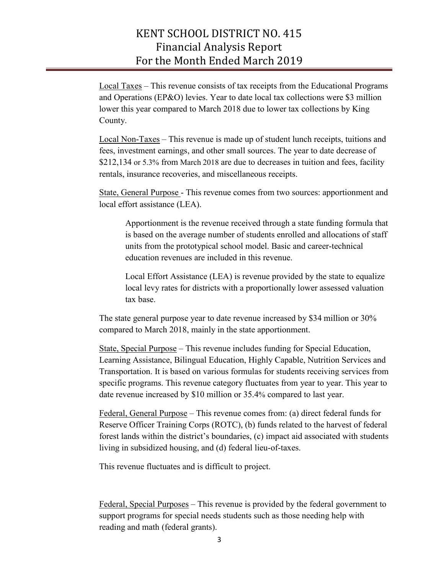Local Taxes – This revenue consists of tax receipts from the Educational Programs and Operations (EP&O) levies. Year to date local tax collections were \$3 million lower this year compared to March 2018 due to lower tax collections by King County.

Local Non-Taxes – This revenue is made up of student lunch receipts, tuitions and fees, investment earnings, and other small sources. The year to date decrease of \$212,134 or 5.3% from March 2018 are due to decreases in tuition and fees, facility rentals, insurance recoveries, and miscellaneous receipts.

State, General Purpose - This revenue comes from two sources: apportionment and local effort assistance (LEA).

Apportionment is the revenue received through a state funding formula that is based on the average number of students enrolled and allocations of staff units from the prototypical school model. Basic and career-technical education revenues are included in this revenue.

Local Effort Assistance (LEA) is revenue provided by the state to equalize local levy rates for districts with a proportionally lower assessed valuation tax base.

The state general purpose year to date revenue increased by \$34 million or 30% compared to March 2018, mainly in the state apportionment.

State, Special Purpose – This revenue includes funding for Special Education, Learning Assistance, Bilingual Education, Highly Capable, Nutrition Services and Transportation. It is based on various formulas for students receiving services from specific programs. This revenue category fluctuates from year to year. This year to date revenue increased by \$10 million or 35.4% compared to last year.

Federal, General Purpose – This revenue comes from: (a) direct federal funds for Reserve Officer Training Corps (ROTC), (b) funds related to the harvest of federal forest lands within the district's boundaries, (c) impact aid associated with students living in subsidized housing, and (d) federal lieu-of-taxes.

This revenue fluctuates and is difficult to project.

Federal, Special Purposes – This revenue is provided by the federal government to support programs for special needs students such as those needing help with reading and math (federal grants).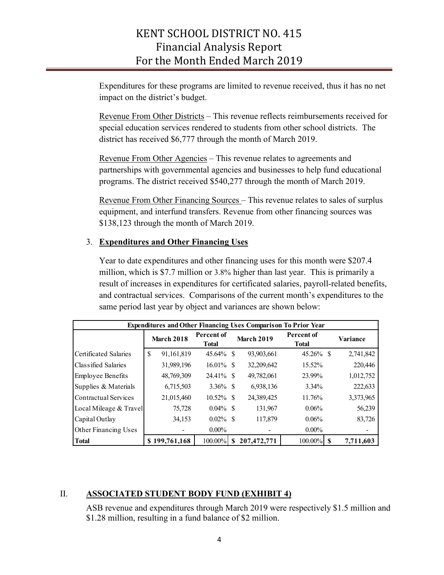Expenditures for these programs are limited to revenue received, thus it has no net impact on the district's budget.

Revenue From Other Districts – This revenue reflects reimbursements received for special education services rendered to students from other school districts. The district has received \$6,777 through the month of March 2019.

Revenue From Other Agencies – This revenue relates to agreements and partnerships with governmental agencies and businesses to help fund educational programs. The district received \$540,277 through the month of March 2019.

Revenue From Other Financing Sources – This revenue relates to sales of surplus equipment, and interfund transfers. Revenue from other financing sources was \$138,123 through the month of March 2019.

#### 3. **Expenditures and Other Financing Uses**

Year to date expenditures and other financing uses for this month were \$207.4 million, which is \$7.7 million or 3.8% higher than last year. This is primarily a result of increases in expenditures for certificated salaries, payroll-related benefits, and contractual services. Comparisons of the current month's expenditures to the same period last year by object and variances are shown below:

| <b>Expenditures and Other Financing Uses Comparison To Prior Year</b> |                   |               |                            |                   |             |                                   |  |           |  |  |  |
|-----------------------------------------------------------------------|-------------------|---------------|----------------------------|-------------------|-------------|-----------------------------------|--|-----------|--|--|--|
|                                                                       | <b>March 2018</b> |               | Percent of<br><b>Total</b> | <b>March 2019</b> |             | <b>Percent of</b><br><b>Total</b> |  | Variance  |  |  |  |
| Certificated Salaries                                                 | S                 | 91,161,819    | 45.64%                     | <sup>S</sup>      | 93,903,661  | $45.26\%$ \$                      |  | 2,741,842 |  |  |  |
| Classified Salaries                                                   |                   | 31,989,196    | 16.01%                     | -S                | 32,209,642  | 15.52%                            |  | 220,446   |  |  |  |
| <b>Employee Benefits</b>                                              |                   | 48,769,309    | 24.41\% \,                 |                   | 49,782,061  | 23.99%                            |  | 1,012,752 |  |  |  |
| Supplies & Materials                                                  |                   | 6,715,503     | $3.36\%$ \$                |                   | 6,938,136   | $3.34\%$                          |  | 222,633   |  |  |  |
| Contractual Services                                                  |                   | 21,015,460    | $10.52\%$                  | -S                | 24,389,425  | 11.76%                            |  | 3,373,965 |  |  |  |
| Local Mileage & Travel                                                |                   | 75,728        | $0.04\%$                   | -S                | 131,967     | $0.06\%$                          |  | 56,239    |  |  |  |
| Capital Outlay                                                        |                   | 34,153        | $0.02\%$                   | -S                | 117,879     | $0.06\%$                          |  | 83,726    |  |  |  |
| Other Financing Uses                                                  |                   |               | $0.00\%$                   |                   |             | $0.00\%$                          |  |           |  |  |  |
| <b>Total</b>                                                          |                   | \$199,761,168 | 100.00%                    | S                 | 207,472,771 | $100.00\%$ \$                     |  | 7,711,603 |  |  |  |

#### II. **ASSOCIATED STUDENT BODY FUND (EXHIBIT 4)**

ASB revenue and expenditures through March 2019 were respectively \$1.5 million and \$1.28 million, resulting in a fund balance of \$2 million.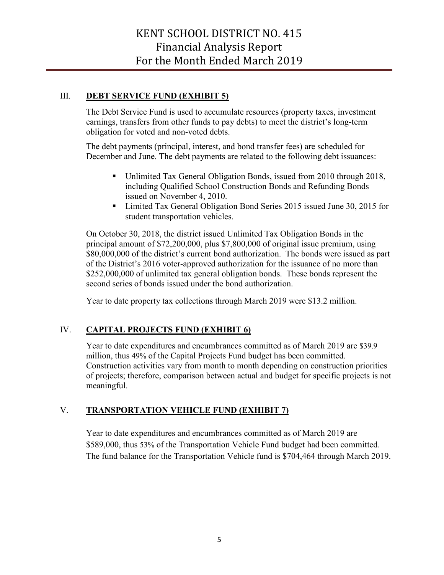#### III. **DEBT SERVICE FUND (EXHIBIT 5)**

The Debt Service Fund is used to accumulate resources (property taxes, investment earnings, transfers from other funds to pay debts) to meet the district's long-term obligation for voted and non-voted debts.

The debt payments (principal, interest, and bond transfer fees) are scheduled for December and June. The debt payments are related to the following debt issuances:

- Unlimited Tax General Obligation Bonds, issued from 2010 through 2018, including Qualified School Construction Bonds and Refunding Bonds issued on November 4, 2010.
- Limited Tax General Obligation Bond Series 2015 issued June 30, 2015 for student transportation vehicles.

On October 30, 2018, the district issued Unlimited Tax Obligation Bonds in the principal amount of \$72,200,000, plus \$7,800,000 of original issue premium, using \$80,000,000 of the district's current bond authorization. The bonds were issued as part of the District's 2016 voter-approved authorization for the issuance of no more than \$252,000,000 of unlimited tax general obligation bonds. These bonds represent the second series of bonds issued under the bond authorization.

Year to date property tax collections through March 2019 were \$13.2 million.

#### IV. **CAPITAL PROJECTS FUND (EXHIBIT 6)**

Year to date expenditures and encumbrances committed as of March 2019 are \$39.9 million, thus 49% of the Capital Projects Fund budget has been committed. Construction activities vary from month to month depending on construction priorities of projects; therefore, comparison between actual and budget for specific projects is not meaningful.

#### V. **TRANSPORTATION VEHICLE FUND (EXHIBIT 7)**

Year to date expenditures and encumbrances committed as of March 2019 are \$589,000, thus 53% of the Transportation Vehicle Fund budget had been committed. The fund balance for the Transportation Vehicle fund is \$704,464 through March 2019.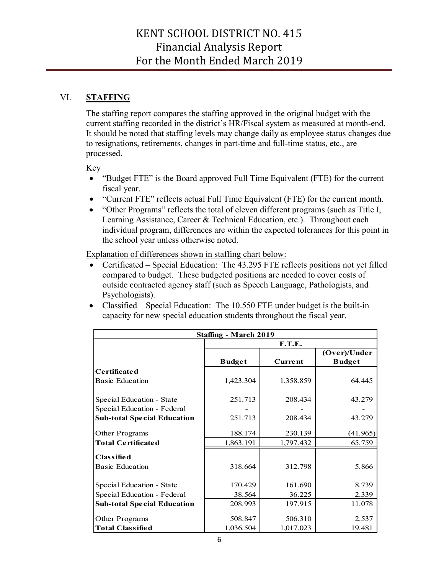#### VI. **STAFFING**

The staffing report compares the staffing approved in the original budget with the current staffing recorded in the district's HR/Fiscal system as measured at month-end. It should be noted that staffing levels may change daily as employee status changes due to resignations, retirements, changes in part-time and full-time status, etc., are processed.

#### Key

- "Budget FTE" is the Board approved Full Time Equivalent (FTE) for the current fiscal year.
- "Current FTE" reflects actual Full Time Equivalent (FTE) for the current month.
- "Other Programs" reflects the total of eleven different programs (such as Title I, Learning Assistance, Career & Technical Education, etc.). Throughout each individual program, differences are within the expected tolerances for this point in the school year unless otherwise noted.

Explanation of differences shown in staffing chart below:

- Certificated Special Education: The 43.295 FTE reflects positions not yet filled compared to budget. These budgeted positions are needed to cover costs of outside contracted agency staff (such as Speech Language, Pathologists, and Psychologists).
- Classified Special Education: The 10.550 FTE under budget is the built-in capacity for new special education students throughout the fiscal year.

| <b>Staffing - March 2019</b>       |               |                |                               |  |  |  |  |  |  |  |
|------------------------------------|---------------|----------------|-------------------------------|--|--|--|--|--|--|--|
|                                    |               | F.T.E.         |                               |  |  |  |  |  |  |  |
|                                    | <b>Budget</b> | <b>Current</b> | (Over)/Under<br><b>Budget</b> |  |  |  |  |  |  |  |
| Certificated                       |               |                |                               |  |  |  |  |  |  |  |
| <b>Basic Education</b>             | 1,423.304     | 1,358.859      | 64.445                        |  |  |  |  |  |  |  |
| Special Education - State          | 251.713       | 208.434        | 43.279                        |  |  |  |  |  |  |  |
| Special Education - Federal        |               |                |                               |  |  |  |  |  |  |  |
| <b>Sub-total Special Education</b> | 251.713       | 208.434        | 43.279                        |  |  |  |  |  |  |  |
| Other Programs                     | 188.174       | 230.139        | (41.965)                      |  |  |  |  |  |  |  |
| <b>Total Certificated</b>          | 1,863.191     | 1,797.432      | 65.759                        |  |  |  |  |  |  |  |
| <b>Classified</b>                  |               |                |                               |  |  |  |  |  |  |  |
| <b>Basic Education</b>             | 318.664       | 312.798        | 5.866                         |  |  |  |  |  |  |  |
| Special Education - State          | 170.429       | 161.690        | 8.739                         |  |  |  |  |  |  |  |
| Special Education - Federal        | 38.564        | 36.225         | 2.339                         |  |  |  |  |  |  |  |
| <b>Sub-total Special Education</b> | 208.993       | 197.915        | 11.078                        |  |  |  |  |  |  |  |
| Other Programs                     | 508.847       | 506.310        | 2.537                         |  |  |  |  |  |  |  |
| <b>Total Classified</b>            | 1,036.504     | 1,017.023      | 19.481                        |  |  |  |  |  |  |  |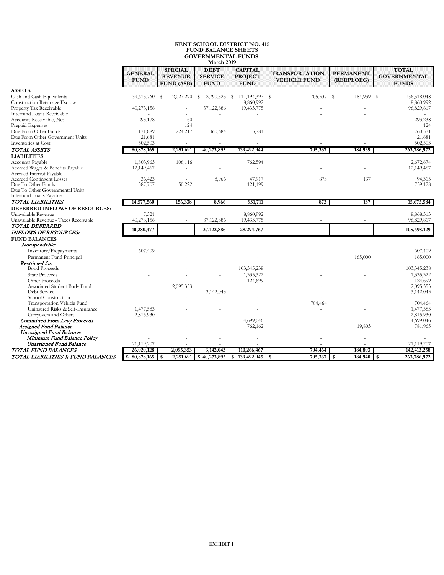#### **KENT SCHOOL DISTRICT NO. 415 FUND BALANCE SHEETS GOVERNMENTAL FUNDS March 2019**

|                                        | <b>GENERAL</b><br><b>FUND</b> | <b>SPECIAL</b><br><b>REVENUE</b><br><b>FUND (ASB)</b> | <b>DEBT</b><br><b>SERVICE</b><br><b>FUND</b> | <b>CAPITAL</b><br><b>PROJECT</b><br><b>FUND</b> | <b>TRANSPORTATION</b><br><b>VEHICLE FUND</b> | <b>PERMANENT</b><br>(REEPLOEG) | <b>TOTAL</b><br><b>GOVERNMENTAL</b><br><b>FUNDS</b> |
|----------------------------------------|-------------------------------|-------------------------------------------------------|----------------------------------------------|-------------------------------------------------|----------------------------------------------|--------------------------------|-----------------------------------------------------|
| <b>ASSETS:</b>                         |                               |                                                       |                                              |                                                 |                                              |                                |                                                     |
| Cash and Cash Equivalents              | 39,615,760                    | 2,027,290<br>-S                                       | 2,790,325<br>s                               | - S<br>111,194,397 \$                           | 705,337                                      | s.<br>184,939                  | 156,518,048<br>-S                                   |
| Construction Retainage Escrow          |                               |                                                       |                                              | 8,860,992                                       |                                              |                                | 8,860,992                                           |
| Property Tax Receivable                | 40,273,156                    |                                                       | 37,122,886                                   | 19,433,775                                      |                                              |                                | 96,829,817                                          |
| <b>Interfund Loans Receivable</b>      |                               |                                                       |                                              |                                                 |                                              |                                |                                                     |
| Accounts Receivable, Net               | 293,178                       | 60                                                    |                                              |                                                 |                                              |                                | 293,238                                             |
| Prepaid Expenses                       |                               | 124                                                   |                                              |                                                 |                                              |                                | 124                                                 |
| Due From Other Funds                   | 171,889                       | 224,217                                               | 360,684                                      | 3,781                                           |                                              |                                | 760,571                                             |
| Due From Other Government Units        | 21,681                        |                                                       |                                              |                                                 |                                              |                                | 21,681                                              |
| Inventories at Cost                    | 502,503                       |                                                       |                                              |                                                 |                                              |                                | 502,503                                             |
| TOTAL ASSETS                           | 80,878,165                    | 2,251,691                                             | 40,273,895                                   | 139,492,944                                     | 705,337                                      | 184,939                        | 263,786,972                                         |
| <b>LIABILITIES:</b>                    |                               |                                                       |                                              |                                                 |                                              |                                |                                                     |
| Accounts Payable                       | 1,803,963                     | 106,116                                               |                                              | 762,594                                         |                                              |                                | 2,672,674                                           |
| Accrued Wages & Benefits Payable       | 12,149,467                    |                                                       |                                              | $\sim$                                          |                                              |                                | 12,149,467                                          |
| <b>Accrued Interest Payable</b>        |                               |                                                       |                                              |                                                 |                                              |                                |                                                     |
| <b>Accrued Contingent Losses</b>       | 36,423                        |                                                       | 8,966                                        | 47,917                                          | 873                                          | 137                            | 94,315                                              |
| Due To Other Funds                     | 587,707                       | 50,222                                                |                                              | 121,199                                         |                                              |                                | 759,128                                             |
| Due To Other Governmental Units        |                               |                                                       |                                              |                                                 |                                              |                                |                                                     |
| Interfund Loans Payable                |                               |                                                       |                                              | $\overline{\phantom{a}}$                        |                                              |                                |                                                     |
| TOTAL LIABILITIES                      | 14,577,560                    | 156,338                                               | 8,966                                        | 931,711                                         | 873                                          | 137                            | 15,675,584                                          |
| DEFERRED INFLOWS OF RESOURCES:         |                               |                                                       |                                              |                                                 |                                              |                                |                                                     |
| Unavailable Revenue                    | 7,321                         |                                                       |                                              | 8,860,992                                       |                                              |                                | 8,868,313                                           |
| Unavailable Revenue - Taxes Receivable | 40,273,156                    | ÷                                                     | 37,122,886                                   | 19,433,775                                      |                                              |                                | 96,829,817                                          |
| <b>TOTAL DEFERRED</b>                  |                               |                                                       |                                              |                                                 |                                              |                                |                                                     |
| <b>INFLOWS OF RESOURCES:</b>           | 40,280,477                    |                                                       | 37,122,886                                   | 28,294,767                                      |                                              | ä,                             | 105,698,129                                         |
| <b>FUND BALANCES</b>                   |                               |                                                       |                                              |                                                 |                                              |                                |                                                     |
| Nonspendable:                          |                               |                                                       |                                              |                                                 |                                              |                                |                                                     |
|                                        |                               |                                                       |                                              |                                                 |                                              |                                | 607,409                                             |
| Inventory/Prepayments                  | 607,409                       |                                                       |                                              |                                                 |                                              |                                |                                                     |
| Permanent Fund Principal               |                               |                                                       |                                              |                                                 |                                              | 165,000                        | 165,000                                             |
| Restricted for:                        |                               |                                                       |                                              |                                                 |                                              |                                |                                                     |
| <b>Bond Proceeds</b>                   |                               |                                                       |                                              | 103,345,238                                     |                                              |                                | 103,345,238                                         |
| <b>State Proceeds</b>                  |                               |                                                       |                                              | 1,335,322                                       |                                              |                                | 1,335,322                                           |
| Other Proceeds                         |                               |                                                       |                                              | 124,699                                         |                                              |                                | 124,699                                             |
| Associated Student Body Fund           |                               | 2,095,353                                             |                                              |                                                 |                                              |                                | 2,095,353                                           |
| Debt Service                           |                               |                                                       | 3,142,043                                    |                                                 |                                              |                                | 3,142,043                                           |
| School Construction                    |                               |                                                       |                                              |                                                 |                                              |                                |                                                     |
| Transportation Vehicle Fund            |                               |                                                       |                                              |                                                 | 704,464                                      |                                | 704,464                                             |
| Uninsured Risks & Self-Insurance       | 1,477,583                     |                                                       |                                              |                                                 |                                              |                                | 1,477,583                                           |
| Carryovers and Others                  | 2,815,930                     |                                                       |                                              |                                                 |                                              |                                | 2,815,930                                           |
| <b>Committed From Levy Proceeds</b>    |                               |                                                       |                                              | 4,699,046                                       |                                              |                                | 4,699,046                                           |
| Assigned Fund Balance                  |                               |                                                       |                                              | 762,162                                         |                                              | 19,803                         | 781,965                                             |
| <b>Unassigned Fund Balance:</b>        |                               |                                                       |                                              |                                                 |                                              |                                |                                                     |
| Minimum Fund Balance Policy            |                               |                                                       |                                              |                                                 |                                              |                                |                                                     |
| Unassigned Fund Balance                | 21,119,207                    |                                                       |                                              |                                                 |                                              |                                | 21,119,207                                          |
| TOTAL FUND BALANCES                    | 26,020,128                    | 2,095,353                                             | 3,142,043                                    | 110,266,467                                     | 704,464                                      | 184,803                        | 142, 413, 258                                       |
| TOTAL LIABILITIES & FUND BALANCES      | $$80,878,165$ \ \ \$          | 2,251,691                                             |                                              | $$40,273,895$ $$139,492,945$ \$                 | $705,337$ \$                                 | $184,940$ \$                   | 263,786,972                                         |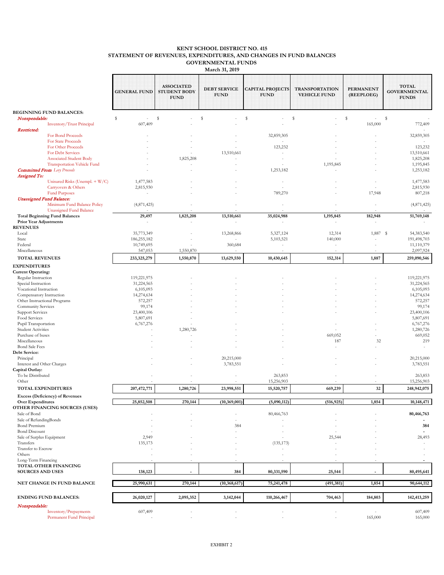#### **KENT SCHOOL DISTRICT NO. 415 STATEMENT OF REVENUES, EXPENDITURES, AND CHANGES IN FUND BALANCES GOVERNMENTAL FUNDS**

|                                                          |                                                                           |                           |                                                         | <b>March 31, 2019</b>              |                                        |                                              |                                |                                                     |
|----------------------------------------------------------|---------------------------------------------------------------------------|---------------------------|---------------------------------------------------------|------------------------------------|----------------------------------------|----------------------------------------------|--------------------------------|-----------------------------------------------------|
|                                                          |                                                                           | <b>GENERAL FUND</b>       | <b>ASSOCIATED</b><br><b>STUDENT BODY</b><br><b>FUND</b> | <b>DEBT SERVICE</b><br><b>FUND</b> | <b>CAPITAL PROJECTS</b><br><b>FUND</b> | <b>TRANSPORTATION</b><br><b>VEHICLE FUND</b> | <b>PERMANENT</b><br>(REEPLOEG) | <b>TOTAL</b><br><b>GOVERNMENTAL</b><br><b>FUNDS</b> |
|                                                          | <b>BEGINNING FUND BALANCES:</b>                                           |                           |                                                         |                                    |                                        |                                              | s                              |                                                     |
| Nonspendable:                                            | <b>Inventory/Trust Principal</b>                                          | \$<br>$\sim$<br>607,409   | \$                                                      | s                                  | s                                      | s                                            | $\sim$<br>165,000              | s<br>772,409                                        |
| Restricted:                                              |                                                                           |                           |                                                         |                                    |                                        |                                              |                                |                                                     |
|                                                          | For Bond Proceeds<br>For State Proceeds                                   |                           |                                                         |                                    | 32,859,305                             |                                              |                                | 32,859,305                                          |
|                                                          | For Other Proceeds                                                        |                           |                                                         |                                    | 123,232                                |                                              |                                | 123,232                                             |
|                                                          | For Debt Services                                                         |                           |                                                         | 13,510,661                         |                                        |                                              |                                | 13,510,661                                          |
|                                                          | <b>Associated Student Body</b>                                            |                           | 1,825,208                                               |                                    |                                        |                                              |                                | 1,825,208                                           |
|                                                          | <b>Transportation Vehicle Fund</b><br><b>Committed From</b> Levy Proceeds |                           |                                                         |                                    | 1,253,182                              | 1,195,845                                    |                                | 1,195,845<br>1,253,182                              |
| <b>Assigned To:</b>                                      |                                                                           |                           |                                                         |                                    |                                        |                                              |                                |                                                     |
|                                                          | Unisured Risks (Unempl. + W/C)                                            | 1,477,583                 |                                                         |                                    |                                        |                                              |                                | 1,477,583                                           |
|                                                          | Carryovers & Others                                                       | 2,815,930                 |                                                         |                                    |                                        |                                              |                                | 2,815,930                                           |
|                                                          | <b>Fund Purposes</b>                                                      | $\overline{\phantom{a}}$  |                                                         |                                    | 789,270                                |                                              | 17,948                         | 807,218                                             |
| <b>Unassigned Fund Balance:</b>                          | Minimum Fund Balance Policy                                               | (4,871,425)               |                                                         |                                    |                                        |                                              |                                | (4,871,425)                                         |
|                                                          | <b>Unassigned Fund Balance</b>                                            |                           |                                                         |                                    |                                        |                                              |                                |                                                     |
|                                                          | <b>Total Beginning Fund Balances</b>                                      | 29,497                    | 1,825,208                                               | 13,510,661                         | 35,024,988                             | 1,195,845                                    | 182,948                        | 51,769,148                                          |
| <b>Prior Year Adjustments</b>                            |                                                                           |                           |                                                         | $\sim$                             |                                        | $\sim$                                       |                                |                                                     |
| <b>REVENUES</b>                                          |                                                                           |                           |                                                         |                                    |                                        |                                              |                                |                                                     |
| Local<br>State                                           |                                                                           | 35,773,349<br>186,255,182 |                                                         | 13,268,866                         | 5,327,124<br>5,103,521                 | 12,314<br>140,000                            | 1,887                          | -S<br>54, 383, 540<br>191,498,703                   |
| Federal                                                  |                                                                           | 10,749,695                |                                                         | 360,684                            |                                        | $\sim$                                       |                                | 11,110,379                                          |
| Miscellaneous                                            |                                                                           | 547,053                   | 1,550,870                                               |                                    |                                        |                                              |                                | 2,097,924                                           |
| <b>TOTAL REVENUES</b>                                    |                                                                           | 233,325,279               | 1,550,870                                               | 13,629,550                         | 10,430,645                             | 152,314                                      | 1,887                          | 259,090,546                                         |
| <b>EXPENDITURES</b>                                      |                                                                           |                           |                                                         |                                    |                                        |                                              |                                |                                                     |
| <b>Current Operating:</b>                                |                                                                           |                           |                                                         |                                    |                                        |                                              |                                |                                                     |
| Regular Instruction                                      |                                                                           | 119,221,975               |                                                         |                                    |                                        |                                              |                                | 119,221,975                                         |
| Special Instruction                                      |                                                                           | 31,224,565                |                                                         |                                    |                                        |                                              |                                | 31,224,565                                          |
| Vocational Instruction                                   |                                                                           | 6,105,093                 |                                                         |                                    |                                        |                                              |                                | 6,105,093                                           |
| Compensatory Instruction<br>Other Instructional Programs |                                                                           | 14,274,634<br>572,257     |                                                         |                                    |                                        |                                              |                                | 14,274,634<br>572,257                               |
| Community Services                                       |                                                                           | 99,174                    |                                                         |                                    |                                        |                                              |                                | 99,174                                              |
| <b>Support Services</b>                                  |                                                                           | 23,400,106                |                                                         |                                    |                                        |                                              |                                | 23,400,106                                          |
| Food Services                                            |                                                                           | 5,807,691                 |                                                         |                                    |                                        |                                              |                                | 5,807,691                                           |
| Pupil Transportation                                     |                                                                           | 6,767,276                 |                                                         |                                    |                                        |                                              |                                | 6,767,276                                           |
| <b>Student Activities</b>                                |                                                                           |                           | 1,280,726                                               |                                    |                                        |                                              |                                | 1,280,726                                           |
| Purchase of buses<br>Miscellaneous                       |                                                                           |                           |                                                         |                                    |                                        | 669,052<br>187                               | 32                             | 669,052<br>219                                      |
| <b>Bond Sale Fees</b>                                    |                                                                           |                           |                                                         |                                    |                                        |                                              |                                | $\sim$                                              |
| Debt Service:                                            |                                                                           |                           |                                                         |                                    |                                        |                                              |                                |                                                     |
| Principal                                                |                                                                           |                           |                                                         | 20,215,000                         |                                        |                                              |                                | 20,215,000                                          |
| Interest and Other Charges                               |                                                                           |                           |                                                         | 3,783,551                          |                                        |                                              |                                | 3,783,551                                           |
| Capital Outlay:<br>To be Distributed                     |                                                                           |                           |                                                         |                                    | 263,853                                |                                              |                                | 263,853                                             |
| Other                                                    |                                                                           |                           |                                                         |                                    | 15,256,903                             |                                              |                                | 15,256,903                                          |
| <b>TOTAL EXPENDITURES</b>                                |                                                                           | 207,472,771               | 1,280,726                                               | 23,998,551                         | 15,520,757                             | 669,239                                      | 32                             | 248,942,075                                         |
|                                                          | <b>Excess (Deficiency) of Revenues</b>                                    |                           |                                                         |                                    |                                        |                                              |                                |                                                     |
| <b>Over Expenditures</b>                                 |                                                                           | 25,852,508                | 270,144                                                 | (10, 369, 001)                     | (5,090,112)                            | (516, 925)                                   | 1,854                          | 10,148,471                                          |
|                                                          | OTHER FINANCING SOURCES (USES)                                            |                           |                                                         |                                    |                                        |                                              |                                |                                                     |
| Sale of Bond                                             |                                                                           |                           |                                                         |                                    | 80,466,763                             |                                              |                                | 80,466,763                                          |
| Sale of RefundingBonds                                   |                                                                           |                           |                                                         |                                    |                                        |                                              |                                |                                                     |
| <b>Bond Premium</b><br><b>Bond Discount</b>              |                                                                           |                           |                                                         | 384                                |                                        |                                              |                                | 384                                                 |
| Sale of Surplus Equipment                                |                                                                           | 2,949                     |                                                         |                                    |                                        | 25,544                                       |                                | 28,493                                              |
| Transfers                                                |                                                                           | 135,173                   |                                                         |                                    | (135, 173)                             |                                              |                                |                                                     |
| Transfer to Escrow                                       |                                                                           |                           |                                                         |                                    |                                        |                                              |                                |                                                     |
| Others                                                   |                                                                           |                           |                                                         |                                    |                                        |                                              |                                |                                                     |
| Long-Term Financing                                      | TOTAL OTHER FINANCING                                                     |                           |                                                         |                                    |                                        |                                              |                                |                                                     |
| <b>SOURCES AND USES</b>                                  |                                                                           | 138,123                   |                                                         | 384                                | 80,331,590                             | 25,544                                       |                                | 80,495,641                                          |
|                                                          |                                                                           |                           |                                                         |                                    |                                        |                                              |                                |                                                     |
|                                                          | NET CHANGE IN FUND BALANCE                                                | 25,990,631                | 270,144                                                 | (10, 368, 617)                     | 75,241,478                             | (491, 381)                                   | 1,854                          | 90,644,112                                          |
|                                                          | <b>ENDING FUND BALANCES:</b>                                              | 26,020,127                | 2,095,352                                               | 3,142,044                          | 110,266,467                            | 704,463                                      | 184,803                        | 142,413,259                                         |
| Nonspendable:                                            |                                                                           |                           |                                                         |                                    |                                        |                                              |                                |                                                     |
|                                                          | Inventory/Prepayments<br>Permanent Fund Principal                         | 607,409                   |                                                         | $\sim$                             |                                        | $\sim$                                       | ÷.<br>165,000                  | 607,409<br>165,000                                  |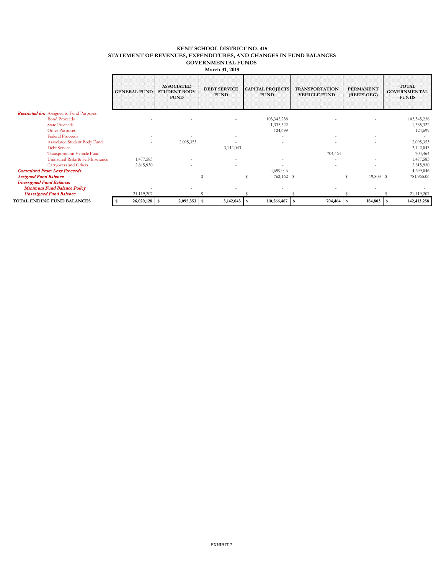#### **KENT SCHOOL DISTRICT NO. 415 STATEMENT OF REVENUES, EXPENDITURES, AND CHANGES IN FUND BALANCES GOVERNMENTAL FUNDS March 31, 2019**

|                                                  | <b>GENERAL FUND</b> | <b>ASSOCIATED</b><br><b>STUDENT BODY</b><br><b>FUND</b> | <b>DEBT SERVICE</b><br><b>FUND</b> | <b>CAPITAL PROJECTS</b><br><b>FUND</b> | <b>TRANSPORTATION</b><br><b>VEHICLE FUND</b> | <b>PERMANENT</b><br>(REEPLOEG) | <b>TOTAL</b><br><b>GOVERNMENTAL</b><br><b>FUNDS</b> |
|--------------------------------------------------|---------------------|---------------------------------------------------------|------------------------------------|----------------------------------------|----------------------------------------------|--------------------------------|-----------------------------------------------------|
| <b>Restricted for:</b> Assigned to Fund Purposes |                     |                                                         |                                    |                                        |                                              |                                |                                                     |
| <b>Bond Proceeds</b>                             |                     |                                                         |                                    | 103,345,238                            |                                              |                                | 103,345,238                                         |
| <b>State Proceeds</b>                            |                     |                                                         |                                    | 1,335,322                              |                                              |                                | 1,335,322                                           |
| <b>Other Purposes</b>                            |                     |                                                         |                                    | 124,699                                |                                              |                                | 124,699                                             |
| <b>Federal Proceeds</b>                          |                     |                                                         |                                    |                                        |                                              |                                |                                                     |
| Associated Student Body Fund                     |                     | 2,095,353                                               |                                    |                                        |                                              |                                | 2,095,353                                           |
| <b>Debt Service</b>                              |                     |                                                         | 3,142,043                          |                                        |                                              |                                | 3,142,043                                           |
| <b>Transportation Vehicle Fund</b>               |                     |                                                         |                                    |                                        | 704,464                                      |                                | 704,464                                             |
| Uninsured Risks & Self-Insurance                 | 1,477,583           |                                                         |                                    |                                        |                                              |                                | 1,477,583                                           |
| Carryovers and Others                            | 2,815,930           |                                                         |                                    |                                        |                                              |                                | 2,815,930                                           |
| <b>Committed From Levy Proceeds</b>              |                     |                                                         |                                    | 4,699,046                              |                                              |                                | 4,699,040                                           |
| <b>Assigned Fund Balance</b>                     |                     |                                                         | S                                  | 762,162 \$<br>S                        | $\sim$                                       | 19,803 \$<br>S                 | 781,965.00                                          |
| <b>Unassigned Fund Balance:</b>                  |                     |                                                         |                                    |                                        |                                              |                                |                                                     |
| Minimum Fund Balance Policy                      |                     |                                                         |                                    |                                        |                                              |                                |                                                     |
| <b>Unassigned Fund Balance</b>                   | 21,119,207          |                                                         |                                    |                                        |                                              |                                | 21,119,207                                          |
| TOTAL ENDING FUND BALANCES                       | 26,020,128<br>-S    | 2,095,353                                               | 3,142,043<br>-S                    | $110,266,467$ \$                       | 704,464                                      | 184,803                        | 142,413,258                                         |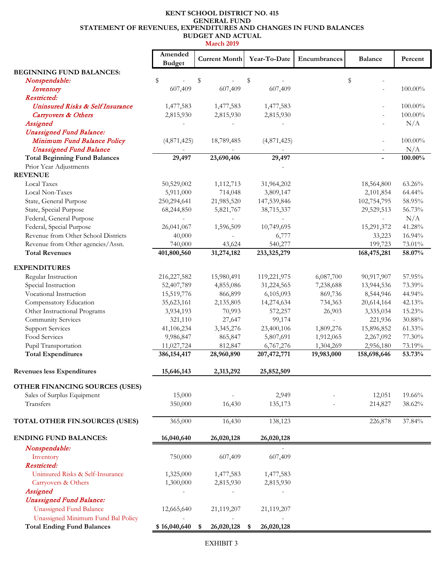#### **KENT SCHOOL DISTRICT NO. 415 STATEMENT OF REVENUES, EXPENDITURES AND CHANGES IN FUND BALANCES BUDGET AND ACTUAL GENERAL FUND**

|                                                                        | Amended       | <b>Current Month</b> | Year-To-Date       | Encumbrances   | <b>Balance</b>           | Percent        |
|------------------------------------------------------------------------|---------------|----------------------|--------------------|----------------|--------------------------|----------------|
|                                                                        | <b>Budget</b> |                      |                    |                |                          |                |
| <b>BEGINNING FUND BALANCES:</b>                                        |               |                      |                    |                |                          |                |
| Nonspendable:                                                          | \$<br>607,409 | \$<br>607,409        | \$<br>607,409      |                | \$                       | $100.00\%$     |
| Inventory<br>Restricted:                                               |               |                      |                    |                |                          |                |
| Uninsured Risks & Self Insurance                                       | 1,477,583     | 1,477,583            | 1,477,583          |                |                          | 100.00%        |
| Carryovers & Others                                                    | 2,815,930     | 2,815,930            | 2,815,930          |                |                          | 100.00%        |
| Assigned                                                               |               |                      |                    |                |                          | N/A            |
| <b>Unassigned Fund Balance:</b>                                        |               |                      |                    |                |                          |                |
| Minimum Fund Balance Policy                                            | (4,871,425)   | 18,789,485           | (4,871,425)        |                |                          | 100.00%        |
| <b>Unassigned Fund Balance</b><br><b>Total Beginning Fund Balances</b> | 29,497        | 23,690,406           | 29,497             |                | $\overline{a}$           | N/A<br>100.00% |
| Prior Year Adjustments                                                 |               |                      |                    |                |                          |                |
| <b>REVENUE</b>                                                         |               |                      |                    |                |                          |                |
| Local Taxes                                                            | 50,529,002    | 1,112,713            | 31,964,202         |                | 18,564,800               | 63.26%         |
| Local Non-Taxes                                                        | 5,911,000     | 714,048              | 3,809,147          |                | 2,101,854                | 64.44%         |
| State, General Purpose                                                 | 250,294,641   | 21,985,520           | 147,539,846        |                | 102,754,795              | 58.95%         |
| State, Special Purpose                                                 | 68,244,850    | 5,821,767            | 38,715,337         |                | 29,529,513               | 56.73%         |
| Federal, General Purpose                                               |               |                      |                    |                | $\overline{\phantom{a}}$ | N/A            |
| Federal, Special Purpose                                               | 26,041,067    | 1,596,509            | 10,749,695         |                | 15,291,372               | 41.28%         |
| Revenue from Other School Districts                                    | 40,000        |                      | 6,777              |                | 33,223                   | 16.94%         |
| Revenue from Other agencies/Assn.                                      | 740,000       | 43,624               | 540,277            |                | 199,723                  | $73.01\%$      |
| <b>Total Revenues</b>                                                  | 401,800,560   | 31,274,182           | 233,325,279        |                | 168,475,281              | 58.07%         |
| <b>EXPENDITURES</b>                                                    |               |                      |                    |                |                          |                |
| Regular Instruction                                                    | 216, 227, 582 | 15,980,491           | 119,221,975        | 6,087,700      | 90,917,907               | 57.95%         |
| Special Instruction                                                    | 52,407,789    | 4,855,086            | 31,224,565         | 7,238,688      | 13,944,536               | 73.39%         |
| Vocational Instruction                                                 | 15,519,776    | 866,899              | 6,105,093          | 869,736        | 8,544,946                | 44.94%         |
| Compensatory Education                                                 | 35,623,161    | 2,135,805            | 14,274,634         | 734,363        | 20,614,164               | 42.13%         |
| Other Instructional Programs                                           | 3,934,193     | 70,993               | 572,257            | 26,903         | 3,335,034                | 15.23%         |
| Community Services                                                     | 321,110       | 27,647               | 99,174             | $\overline{a}$ | 221,936                  | $30.88\%$      |
| <b>Support Services</b>                                                | 41,106,234    | 3,345,276            | 23,400,106         | 1,809,276      | 15,896,852               | $61.33\%$      |
| Food Services                                                          | 9,986,847     | 865,847              | 5,807,691          | 1,912,065      | 2,267,092                | 77.30%         |
| Pupil Transportation                                                   | 11,027,724    | 812,847              | 6,767,276          | 1,304,269      | 2,956,180                | 73.19%         |
| <b>Total Expenditures</b>                                              | 386, 154, 417 | 28,960,890           | 207, 472, 771      | 19,983,000     | 158,698,646              | 53.73%         |
| <b>Revenues less Expenditures</b>                                      | 15,646,143    | 2,313,292            | 25,852,509         |                |                          |                |
| OTHER FINANCING SOURCES (USES)                                         |               |                      |                    |                |                          |                |
| Sales of Surplus Equipment                                             | 15,000        |                      | 2,949              |                | 12,051                   | 19.66%         |
| Transfers                                                              | 350,000       | 16,430               | 135,173            |                | 214,827                  | 38.62%         |
|                                                                        |               |                      |                    |                |                          |                |
| TOTAL OTHER FIN.SOURCES (USES)                                         | 365,000       | 16,430               | 138,123            |                | 226,878                  | 37.84%         |
| <b>ENDING FUND BALANCES:</b>                                           | 16,040,640    | 26,020,128           | 26,020,128         |                |                          |                |
| Nonspendable:                                                          |               |                      |                    |                |                          |                |
| Inventory                                                              | 750,000       | 607,409              | 607,409            |                |                          |                |
| Restricted:                                                            |               |                      |                    |                |                          |                |
| Uninsured Risks & Self-Insurance                                       | 1,325,000     | 1,477,583            | 1,477,583          |                |                          |                |
| Carryovers & Others                                                    | 1,300,000     | 2,815,930            | 2,815,930          |                |                          |                |
| Assigned                                                               |               |                      |                    |                |                          |                |
| <b>Unassigned Fund Balance:</b>                                        |               |                      |                    |                |                          |                |
| <b>Unassigned Fund Balance</b>                                         | 12,665,640    | 21,119,207           | 21,119,207         |                |                          |                |
| Unassigned Minimum Fund Bal Policy                                     |               |                      |                    |                |                          |                |
| <b>Total Ending Fund Balances</b>                                      | \$16,040,640  | 26,020,128<br>\$     | 26,020,128<br>- \$ |                |                          |                |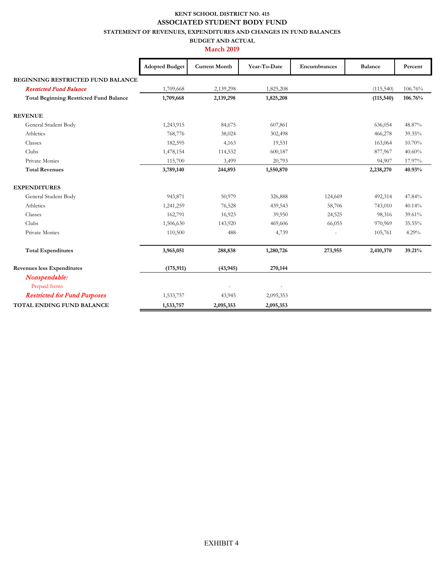## **KENT SCHOOL DISTRICT NO. 415 ASSOCIATED STUDENT BODY FUND**

**STATEMENT OF REVENUES, EXPENDITURES AND CHANGES IN FUND BALANCES**

**BUDGET AND ACTUAL**

|                                                | <b>Adopted Budget</b> | <b>Current Month</b> | Year-To-Date | Encumbrances | <b>Balance</b> | Percent |
|------------------------------------------------|-----------------------|----------------------|--------------|--------------|----------------|---------|
| BEGINNING RESTRICTED FUND BALANCE              |                       |                      |              |              |                |         |
| <b>Restricted Fund Balance</b>                 | 1,709,668             | 2,139,298            | 1,825,208    |              | (115,540)      | 106.76% |
| <b>Total Beginning Restricted Fund Balance</b> | 1,709,668             | 2,139,298            | 1,825,208    |              | (115, 540)     | 106.76% |
| <b>REVENUE</b>                                 |                       |                      |              |              |                |         |
| General Student Body                           | 1,243,915             | 84,675               | 607,861      |              | 636,054        | 48.87%  |
| Athletics                                      | 768,776               | 38,024               | 302,498      |              | 466,278        | 39.35%  |
| Classes                                        | 182,595               | 4,163                | 19,531       |              | 163,064        | 10.70%  |
| Clubs                                          | 1,478,154             | 114,532              | 600,187      |              | 877,967        | 40.60%  |
| Private Monies                                 | 115,700               | 3,499                | 20,793       |              | 94,907         | 17.97%  |
| <b>Total Revenues</b>                          | 3,789,140             | 244,893              | 1,550,870    |              | 2,238,270      | 40.93%  |
| <b>EXPENDITURES</b>                            |                       |                      |              |              |                |         |
| General Student Body                           | 943,871               | 50,979               | 326,888      | 124,669      | 492,314        | 47.84%  |
| Athletics                                      | 1,241,259             | 76,528               | 439,543      | 58,706       | 743,010        | 40.14%  |
| Classes                                        | 162,791               | 16,923               | 39,950       | 24,525       | 98,316         | 39.61%  |
| Clubs                                          | 1,506,630             | 143,920              | 469,606      | 66,055       | 970,969        | 35.55%  |
| Private Monies                                 | 110,500               | 488                  | 4,739        |              | 105,761        | 4.29%   |
| <b>Total Expenditures</b>                      | 3,965,051             | 288,838              | 1,280,726    | 273,955      | 2,410,370      | 39.21%  |
| <b>Revenues less Expenditures</b>              | (175, 911)            | (43, 945)            | 270,144      |              |                |         |
| Nonspendable:                                  |                       |                      |              |              |                |         |
| Prepaid Items                                  |                       |                      |              |              |                |         |
| <b>Restricted for Fund Purposes</b>            | 1,533,757             | 43,945               | 2,095,353    |              |                |         |
| TOTAL ENDING FUND BALANCE                      | 1,533,757             | 2,095,353            | 2,095,353    |              |                |         |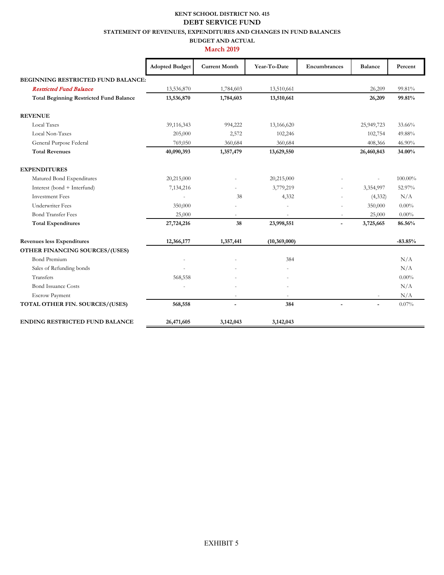#### **KENT SCHOOL DISTRICT NO. 415 STATEMENT OF REVENUES, EXPENDITURES AND CHANGES IN FUND BALANCES DEBT SERVICE FUND**

#### **BUDGET AND ACTUAL**

|                                                | <b>Adopted Budget</b> | <b>Current Month</b> | Year-To-Date | Encumbrances             | <b>Balance</b>           | Percent   |
|------------------------------------------------|-----------------------|----------------------|--------------|--------------------------|--------------------------|-----------|
| <b>BEGINNING RESTRICTED FUND BALANCE:</b>      |                       |                      |              |                          |                          |           |
| <b>Restricted Fund Balance</b>                 | 13,536,870            | 1,784,603            | 13,510,661   |                          | 26,209                   | 99.81%    |
| <b>Total Beginning Restricted Fund Balance</b> | 13,536,870            | 1,784,603            | 13,510,661   |                          | 26,209                   | 99.81%    |
| <b>REVENUE</b>                                 |                       |                      |              |                          |                          |           |
| <b>Local Taxes</b>                             | 39,116,343            | 994,222              | 13,166,620   |                          | 25,949,723               | 33.66%    |
| Local Non-Taxes                                | 205,000               | 2,572                | 102,246      |                          | 102,754                  | 49.88%    |
| General Purpose Federal                        | 769,050               | 360,684              | 360,684      |                          | 408,366                  | 46.90%    |
| <b>Total Revenues</b>                          | 40,090,393            | 1,357,479            | 13,629,550   |                          | 26,460,843               | 34.00%    |
| <b>EXPENDITURES</b>                            |                       |                      |              |                          |                          |           |
| Matured Bond Expenditures                      | 20,215,000            |                      | 20,215,000   |                          | $\sim$                   | 100.00%   |
| Interest (bond + Interfund)                    | 7,134,216             |                      | 3,779,219    | $\overline{\phantom{a}}$ | 3,354,997                | 52.97%    |
| <b>Investment Fees</b>                         | ÷,                    | 38                   | 4,332        |                          | (4, 332)                 | N/A       |
| <b>Underwriter Fees</b>                        | 350,000               |                      |              |                          | 350,000                  | $0.00\%$  |
| <b>Bond Transfer Fees</b>                      | 25,000                |                      |              |                          | 25,000                   | $0.00\%$  |
| <b>Total Expenditures</b>                      | 27,724,216            | 38                   | 23,998,551   | $\overline{\phantom{a}}$ | 3,725,665                | 86.56%    |
| <b>Revenues less Expenditures</b>              | 12,366,177            | 1,357,441            | (10,369,000) |                          |                          | $-83.85%$ |
| OTHER FINANCING SOURCES/(USES)                 |                       |                      |              |                          |                          |           |
| <b>Bond Premium</b>                            | $\bar{a}$             |                      | 384          |                          |                          | N/A       |
| Sales of Refunding bonds                       |                       |                      |              |                          |                          | N/A       |
| Transfers                                      | 568,558               |                      |              |                          |                          | $0.00\%$  |
| <b>Bond Issuance Costs</b>                     |                       |                      |              |                          |                          | N/A       |
| <b>Escrow Payment</b>                          |                       | $\sim$               | ÷            |                          | $\overline{\phantom{a}}$ | N/A       |
| TOTAL OTHER FIN. SOURCES/(USES)                | 568,558               | $\blacksquare$       | 384          | $\overline{a}$           | $\blacksquare$           | 0.07%     |
| <b>ENDING RESTRICTED FUND BALANCE</b>          | 26,471,605            | 3,142,043            | 3,142,043    |                          |                          |           |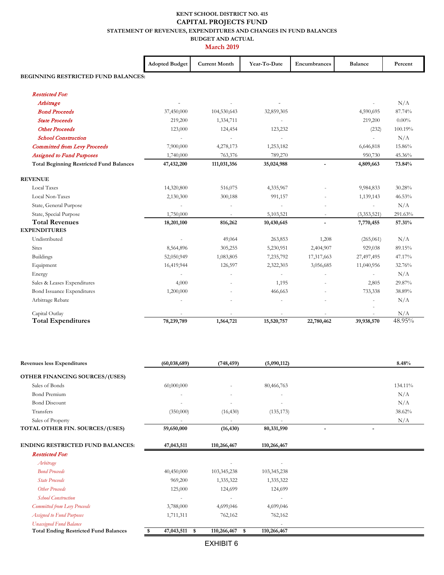#### **KENT SCHOOL DISTRICT NO. 415 STATEMENT OF REVENUES, EXPENDITURES AND CHANGES IN FUND BALANCES BUDGET AND ACTUAL CAPITAL PROJECTS FUND**

|                                                 | <b>Adopted Budget</b> | <b>Current Month</b> | Year-To-Date | Encumbrances   | <b>Balance</b>           | Percent  |
|-------------------------------------------------|-----------------------|----------------------|--------------|----------------|--------------------------|----------|
| BEGINNING RESTRICTED FUND BALANCES:             |                       |                      |              |                |                          |          |
| <b>Restricted For:</b>                          |                       |                      |              |                |                          |          |
| Arbitrage                                       |                       |                      |              |                |                          | N/A      |
| <b>Bond Proceeds</b>                            | 37,450,000            | 104,530,643          | 32,859,305   |                | 4,590,695                | 87.74%   |
| <b>State Proceeds</b>                           | 219,200               | 1,334,711            |              |                | 219,200                  | $0.00\%$ |
| <b>Other Proceeds</b>                           | 123,000               | 124,454              | 123,232      |                | (232)                    | 100.19%  |
| <b>School Construction</b>                      |                       |                      |              |                |                          | N/A      |
| <b>Committed from Levy Proceeds</b>             | 7,900,000             | 4,278,173            | 1,253,182    |                | 6,646,818                | 15.86%   |
| <b>Assigned to Fund Purposes</b>                | 1,740,000             | 763,376              | 789,270      |                | 950,730                  | 45.36%   |
| <b>Total Beginning Restricted Fund Balances</b> | 47,432,200            | 111,031,356          | 35,024,988   |                | 4,809,663                | 73.84%   |
| <b>REVENUE</b>                                  |                       |                      |              |                |                          |          |
| Local Taxes                                     | 14,320,800            | 516,075              | 4,335,967    |                | 9,984,833                | 30.28%   |
| Local Non-Taxes                                 | 2,130,300             | 300,188              | 991,157      |                | 1,139,143                | 46.53%   |
| State, General Purpose                          |                       |                      |              |                | ÷.                       | N/A      |
| State, Special Purpose                          | 1,750,000             |                      | 5,103,521    | ×,             | (3,353,521)              | 291.63%  |
| <b>Total Revenues</b>                           | 18,201,100            | 816,262              | 10,430,645   | $\blacksquare$ | 7,770,455                | 57.31%   |
| <b>EXPENDITURES</b>                             |                       |                      |              |                |                          |          |
| Undistributed                                   |                       | 49,064               | 263,853      | 1,208          | (265, 061)               | N/A      |
| <b>Sites</b>                                    | 8,564,896             | 305,255              | 5,230,951    | 2,404,907      | 929,038                  | 89.15%   |
| <b>Buildings</b>                                | 52,050,949            | 1,083,805            | 7,235,792    | 17,317,663     | 27,497,495               | 47.17%   |
| Equipment                                       | 16,419,944            | 126,597              | 2,322,303    | 3,056,685      | 11,040,956               | 32.76%   |
| Energy                                          |                       |                      |              |                | $\overline{\phantom{a}}$ | N/A      |
| Sales & Leases Expenditures                     | 4,000                 |                      | 1,195        |                | 2,805                    | 29.87%   |
| <b>Bond Issuance Expenditures</b>               | 1,200,000             |                      | 466,663      |                | 733,338                  | 38.89%   |
| Arbitrage Rebate                                |                       |                      |              |                |                          | N/A      |
| Capital Outlay                                  |                       |                      |              |                |                          | N/A      |
| <b>Total Expenditures</b>                       | 78,239,789            | 1,564,721            | 15,520,757   | 22,780,462     | 39,938,570               | 48.95%   |

| <b>Revenues less Expenditures</b>            | (60, 038, 689)     | (748, 459)               | (5,090,112) | 8.48%   |
|----------------------------------------------|--------------------|--------------------------|-------------|---------|
| OTHER FINANCING SOURCES/(USES)               |                    |                          |             |         |
| Sales of Bonds                               | 60,000,000         |                          | 80,466,763  | 134.11% |
| <b>Bond Premium</b>                          |                    |                          |             | N/A     |
| <b>Bond Discount</b>                         |                    |                          |             | N/A     |
| Transfers                                    | (350,000)          | (16, 430)                | (135, 173)  | 38.62%  |
| Sales of Property                            |                    | $\overline{\phantom{a}}$ |             | N/A     |
| TOTAL OTHER FIN. SOURCES/(USES)              | 59,650,000         | (16, 430)                | 80,331,590  |         |
| <b>ENDING RESTRICTED FUND BALANCES:</b>      | 47,043,511         | 110,266,467              | 110,266,467 |         |
| <b>Restricted For:</b>                       |                    |                          |             |         |
| Arbitrage                                    |                    |                          |             |         |
| <b>Bond Proceeds</b>                         | 40,450,000         | 103,345,238              | 103,345,238 |         |
| <b>State Proceeds</b>                        | 969,200            | 1,335,322                | 1,335,322   |         |
| <b>Other Proceeds</b>                        | 125,000            | 124,699                  | 124,699     |         |
| <b>School Construction</b>                   |                    | $\overline{\phantom{a}}$ |             |         |
| Committed from Levy Proceeds                 | 3,788,000          | 4,699,046                | 4,699,046   |         |
| <b>Assigned to Fund Purposes</b>             | 1,711,311          | 762,162                  | 762,162     |         |
| <b>Unassigned Fund Balance</b>               |                    |                          |             |         |
| <b>Total Ending Restricted Fund Balances</b> | 47,043,511<br>- \$ | 110,266,467<br>- \$      | 110,266,467 |         |
|                                              |                    | <b>EXHIBIT 6</b>         |             |         |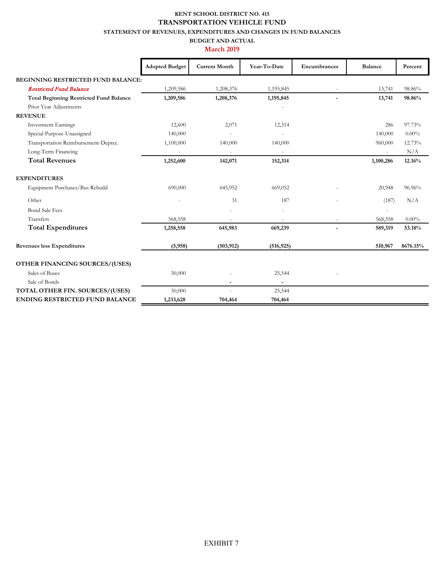## **KENT SCHOOL DISTRICT NO. 415 TRANSPORTATION VEHICLE FUND**

**STATEMENT OF REVENUES, EXPENDITURES AND CHANGES IN FUND BALANCES**

**BUDGET AND ACTUAL**

|                                                | <b>Adopted Budget</b> | <b>Current Month</b> | Year-To-Date | Encumbrances | <b>Balance</b>           | Percent  |
|------------------------------------------------|-----------------------|----------------------|--------------|--------------|--------------------------|----------|
| <b>BEGINNING RESTRICTED FUND BALANCE:</b>      |                       |                      |              |              |                          |          |
| <b>Restricted Fund Balance</b>                 | 1,209,586             | 1,208,376            | 1,195,845    |              | 13,741                   | 98.86%   |
| <b>Total Beginning Restricted Fund Balance</b> | 1,209,586             | 1,208,376            | 1,195,845    |              | 13,741                   | 98.86%   |
| Prior Year Adjustments                         |                       |                      |              |              |                          |          |
| <b>REVENUE</b>                                 |                       |                      |              |              |                          |          |
| <b>Investment Earnings</b>                     | 12,600                | 2,071                | 12,314       |              | 286                      | 97.73%   |
| Special Purpose-Unassigned                     | 140,000               |                      |              |              | 140,000                  | $0.00\%$ |
| Transportation Reimbursement-Deprec.           | 1,100,000             | 140,000              | 140,000      |              | 960,000                  | 12.73%   |
| Long-Term Financing                            | $\sim$                | $\sim$               | $\sim$       |              | $\sim$                   | N/A      |
| <b>Total Revenues</b>                          | 1,252,600             | 142,071              | 152,314      |              | 1,100,286                | 12.16%   |
| <b>EXPENDITURES</b>                            |                       |                      |              |              |                          |          |
| Equipment Purchases/Bus Rebuild                | 690,000               | 645,952              | 669,052      |              | 20,948                   | 96.96%   |
| Other                                          |                       | 31                   | 187          |              | (187)                    | N/A      |
| <b>Bond Sale Fees</b>                          |                       |                      |              |              | $\overline{\phantom{a}}$ |          |
| Transfers                                      | 568,558               |                      |              |              | 568,558                  | $0.00\%$ |
| <b>Total Expenditures</b>                      | 1,258,558             | 645,983              | 669,239      |              | 589,319                  | 53.18%   |
| <b>Revenues less Expenditures</b>              | (5,958)               | (503, 912)           | (516, 925)   |              | 510,967                  | 8676.15% |
| OTHER FINANCING SOURCES/(USES)                 |                       |                      |              |              |                          |          |
| Sales of Buses                                 | 30,000                |                      | 25,544       |              |                          |          |
| Sale of Bonds                                  |                       | $\blacksquare$       |              |              |                          |          |
| TOTAL OTHER FIN. SOURCES/(USES)                | 30,000                | ٠                    | 25,544       |              |                          |          |
| <b>ENDING RESTRICTED FUND BALANCE</b>          | 1,233,628             | 704,464              | 704,464      |              |                          |          |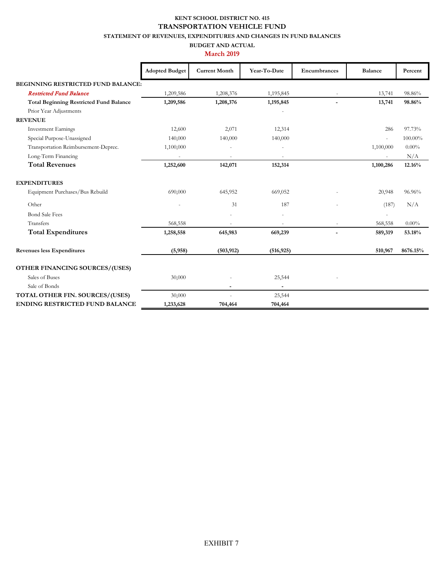#### **KENT SCHOOL DISTRICT NO. 415 TRANSPORTATION VEHICLE FUND**

**STATEMENT OF REVENUES, EXPENDITURES AND CHANGES IN FUND BALANCES**

#### **BUDGET AND ACTUAL March 2019**

|                                                        | <b>Adopted Budget</b> | <b>Current Month</b> | Year-To-Date   | Encumbrances             | <b>Balance</b> | Percent  |
|--------------------------------------------------------|-----------------------|----------------------|----------------|--------------------------|----------------|----------|
| <b>BEGINNING RESTRICTED FUND BALANCE:</b>              |                       |                      |                |                          |                |          |
| <b>Restricted Fund Balance</b>                         | 1,209,586             | 1,208,376            | 1,195,845      |                          | 13,741         | 98.86%   |
| <b>Total Beginning Restricted Fund Balance</b>         | 1,209,586             | 1,208,376            | 1,195,845      | $\overline{\phantom{0}}$ | 13,741         | 98.86%   |
| Prior Year Adjustments                                 |                       |                      |                |                          |                |          |
| <b>REVENUE</b>                                         |                       |                      |                |                          |                |          |
| <b>Investment Earnings</b>                             | 12,600                | 2,071                | 12,314         |                          | 286            | 97.73%   |
| Special Purpose-Unassigned                             | 140,000               | 140,000              | 140,000        |                          | ä,             | 100.00%  |
| Transportation Reimbursement-Deprec.                   | 1,100,000             |                      |                |                          | 1,100,000      | $0.00\%$ |
| Long-Term Financing                                    |                       |                      |                |                          | ä,             | N/A      |
| <b>Total Revenues</b>                                  | 1,252,600             | 142,071              | 152,314        |                          | 1,100,286      | 12.16%   |
| <b>EXPENDITURES</b><br>Equipment Purchases/Bus Rebuild | 690,000               | 645,952              | 669,052        |                          | 20,948         | 96.96%   |
| Other                                                  |                       | 31                   | 187            |                          | (187)          | N/A      |
| <b>Bond Sale Fees</b>                                  |                       |                      |                |                          |                |          |
| Transfers                                              | 568,558               |                      |                |                          | 568,558        | $0.00\%$ |
| <b>Total Expenditures</b>                              | 1,258,558             | 645,983              | 669,239        |                          | 589,319        | 53.18%   |
| <b>Revenues less Expenditures</b>                      | (5,958)               | (503, 912)           | (516, 925)     |                          | 510,967        | 8676.15% |
| <b>OTHER FINANCING SOURCES/(USES)</b>                  |                       |                      |                |                          |                |          |
| Sales of Buses                                         | 30,000                |                      | 25,544         |                          |                |          |
| Sale of Bonds                                          |                       | $\blacksquare$       | $\blacksquare$ |                          |                |          |
| <b>TOTAL OTHER FIN. SOURCES/(USES)</b>                 | 30,000                |                      | 25,544         |                          |                |          |
| <b>ENDING RESTRICTED FUND BALANCE</b>                  | 1,233,628             | 704,464              | 704,464        |                          |                |          |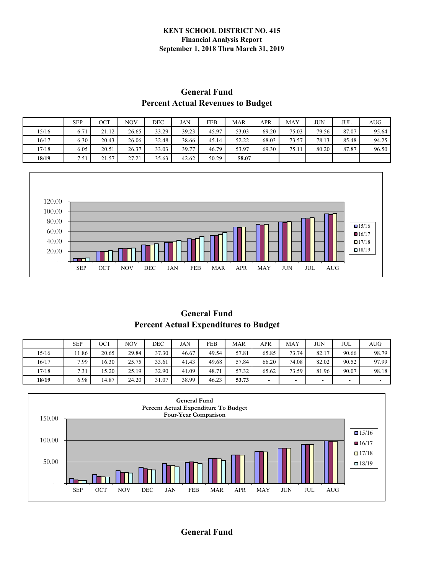#### **KENT SCHOOL DISTRICT NO. 415 Financial Analysis Report September 1, 2018 Thru March 31, 2019**

## **Percent Actual Revenues to Budget General Fund**

|       | <b>SEP</b> | OCT   | NOV   | DEC   | JAN   | FEB   | MAR   | APR   | MAY   | JUN   | JUL   | AUG-                     |
|-------|------------|-------|-------|-------|-------|-------|-------|-------|-------|-------|-------|--------------------------|
| 15/16 | 6.71       | 21.12 | 26.65 | 33.29 | 39.23 | 45.97 | 53.03 | 69.20 | 75.03 | 79.56 | 87.07 | 95.64                    |
| 16/17 | 6.30       | 20.43 | 26.06 | 32.48 | 38.66 | 45.14 | 52.22 | 68.03 | 73.57 | 78.13 | 85.48 | 94.25                    |
| 17/18 | 6.05       | 20.51 | 26.37 | 33.03 | 39.77 | 46.79 | 53.97 | 69.30 | 75.11 | 80.20 | 87.87 | 96.50                    |
| 18/19 | 7.51       | 21.57 | 27.21 | 35.63 | 42.62 | 50.29 | 58.07 | -     | -     |       |       | $\overline{\phantom{0}}$ |



**General Fund Percent Actual Expenditures to Budget**

|       | <b>SEP</b> | ост   | <b>NOV</b> | DEC   | JAN   | <b>FEB</b> | <b>MAR</b> | APR   | MAY   | <b>JUN</b> | JUL   | AUG   |
|-------|------------|-------|------------|-------|-------|------------|------------|-------|-------|------------|-------|-------|
| 15/16 | 11.86      | 20.65 | 29.84      | 37.30 | 46.67 | 49.54      | 57.81      | 65.85 | 73.74 | 82.17      | 90.66 | 98.79 |
| 16/17 | 7.99       | 16.30 | 25.75      | 33.61 | 41.43 | 49.68      | 57.84      | 66.20 | 74.08 | 82.02      | 90.52 | 97.99 |
| 17/18 | 7.31       | 15.20 | 25.19      | 32.90 | 41.09 | 48.71      | 57.32      | 65.62 | 73.59 | 81.96      | 90.07 | 98.18 |
| 18/19 | 6.98       | 14.87 | 24.20      | 31.07 | 38.99 | 46.23      | 53.73      |       | -     | -          | -     |       |



#### **General Fund**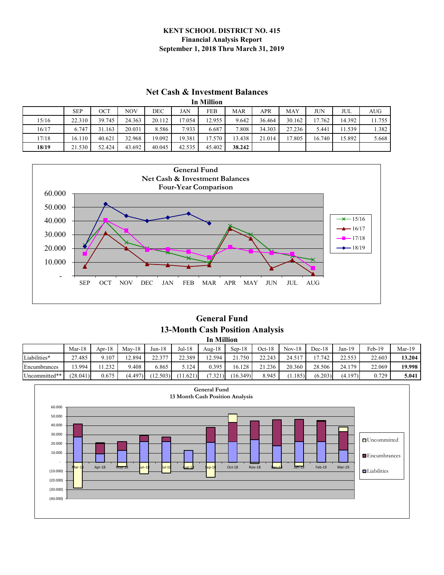#### **KENT SCHOOL DISTRICT NO. 415 Financial Analysis Report September 1, 2018 Thru March 31, 2019**

## **Net Cash & Investment Balances**

|       | In Million |        |        |        |        |        |            |        |        |        |        |            |  |
|-------|------------|--------|--------|--------|--------|--------|------------|--------|--------|--------|--------|------------|--|
|       | <b>SEP</b> | OCT    | NOV    | DEC    | JAN    | FEB    | <b>MAR</b> | APR    | MAY    | JUN    | JUL    | <b>AUG</b> |  |
| 15/16 | 22.310     | 39.745 | 24.363 | 20.112 | 17.054 | 12.955 | 9.642      | 36.464 | 30.162 | 17.762 | 14.392 | 11.755     |  |
| 16/17 | 6.747      | 31.163 | 20.031 | 8.586  | 7.933  | 6.687  | 7.808      | 34.303 | 27.236 | 5.441  | 1.539  | 1.382      |  |
| 17/18 | 16.110     | 40.621 | 32.968 | 19.092 | 19.381 | 17.570 | 13.438     | 21.014 | 17.805 | 16.740 | 15.892 | 5.668      |  |
| 18/19 | 21.530     | 52.424 | 43.692 | 40.045 | 42.535 | 45.402 | 38.242     |        |        |        |        |            |  |



#### **13-Month Cash Position Analysis In Million General Fund**

|               | $Mar-18$ | Apr- $18$ | $Mav-18$ | $Jun-18$ | Jul-18   | Aug- $18$ | $Sen-18$ | $Oct-18$ | $Nov-18$ | $Dec-18$ | $Jan-19$       | Feb-19 | $Mar-19$ |
|---------------|----------|-----------|----------|----------|----------|-----------|----------|----------|----------|----------|----------------|--------|----------|
| Liabilities*  | 27.485   | 9.107     | 12.894   | 22.377   | 22.389   | 12.594    | .750     | 22.243   | 24.517   | 17.742   | 22.533<br>---- | 22.603 | 13.204   |
| Encumbrances  | 3.994    | 1.232     | 9.408    | 6.865    | 5.124    | 0.395     | 16.128   | 21.236   | 20.360   | 28.506   | 24.179         | 22.069 | 19.998   |
| Uncommitted** | (28.041) | 0.675     | (4.497)  | (12.503) | (11.621) | (7.321)   | (16.349) | 8.945    | (1.185)  | (6.203)  | (4.197)        | 0.729  | 5.041    |